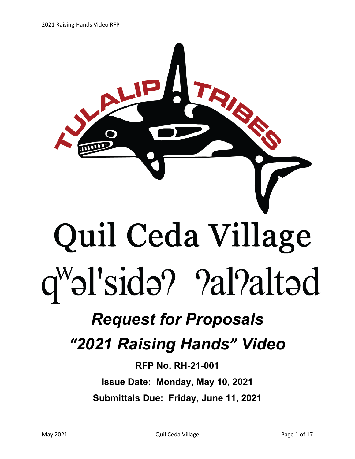

## *Request for Proposals*

## *"2021 Raising Hands" Video*

**RFP No. RH-21-001 Issue Date: Monday, May 10, 2021 Submittals Due: Friday, June 11, 2021**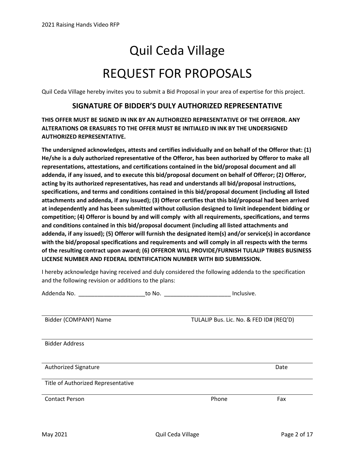# Quil Ceda Village REQUEST FOR PROPOSALS

Quil Ceda Village hereby invites you to submit a Bid Proposal in your area of expertise for this project.

#### **SIGNATURE OF BIDDER'S DULY AUTHORIZED REPRESENTATIVE**

**THIS OFFER MUST BE SIGNED IN INK BY AN AUTHORIZED REPRESENTATIVE OF THE OFFEROR. ANY ALTERATIONS OR ERASURES TO THE OFFER MUST BE INITIALED IN INK BY THE UNDERSIGNED AUTHORIZED REPRESENTATIVE.**

**The undersigned acknowledges, attests and certifies individually and on behalf of the Offeror that: (1) He/she is a duly authorized representative of the Offeror, has been authorized by Offeror to make all representations, attestations, and certifications contained in the bid/proposal document and all addenda, if any issued, and to execute this bid/proposal document on behalf of Offeror; (2) Offeror, acting by its authorized representatives, has read and understands all bid/proposal instructions, specifications, and terms and conditions contained in this bid/proposal document (including all listed attachments and addenda, if any issued); (3) Offeror certifies that this bid/proposal had been arrived at independently and has been submitted without collusion designed to limit independent bidding or competition; (4) Offeror is bound by and will comply with all requirements, specifications, and terms and conditions contained in this bid/proposal document (including all listed attachments and addenda, if any issued); (5) Offeror will furnish the designated item(s) and/or service(s) in accordance with the bid/proposal specifications and requirements and will comply in all respects with the terms of the resulting contract upon award; (6) OFFEROR WILL PROVIDE/FURNISH TULALIP TRIBES BUSINESS LICENSE NUMBER AND FEDERAL IDENTIFICATION NUMBER WITH BID SUBMISSION.**

I hereby acknowledge having received and duly considered the following addenda to the specification and the following revision or additions to the plans:

| Addenda No.                        | to No. | Inclusive.                              |      |
|------------------------------------|--------|-----------------------------------------|------|
| Bidder (COMPANY) Name              |        | TULALIP Bus. Lic. No. & FED ID# (REQ'D) |      |
| <b>Bidder Address</b>              |        |                                         |      |
| <b>Authorized Signature</b>        |        |                                         | Date |
| Title of Authorized Representative |        |                                         |      |
| <b>Contact Person</b>              |        | Phone                                   | Fax  |
|                                    |        |                                         |      |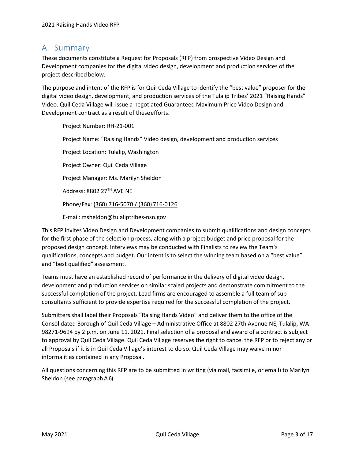### <span id="page-2-0"></span>A. Summary

These documents constitute a Request for Proposals (RFP) from prospective Video Design and Development companies for the digital video design, development and production services of the project described below.

The purpose and intent of the RFP is for Quil Ceda Village to identify the "best value" proposer for the digital video design, development, and production services of the Tulalip Tribes' 2021 "Raising Hands" Video. Quil Ceda Village will issue a negotiated Guaranteed Maximum Price Video Design and Development contract as a result of theseefforts.

Project Number: RH-21-001 Project Name: "Raising Hands" Video design, development and production services Project Location: Tulalip, Washington Project Owner: Quil Ceda Village Project Manager: Ms. Marilyn Sheldon Address: 8802 27TH AVE NE Phone/Fax: (360) 716-5070 / (360) 716-0126 E-mail[:msheldon@tulaliptribes-nsn.gov](mailto:msheldon@tulaliptribes-nsn.gov)

This RFP invites Video Design and Development companies to submit qualifications and design concepts for the first phase of the selection process, along with a project budget and price proposal for the

proposed design concept. Interviews may be conducted with Finalists to review the Team's qualifications, concepts and budget. Our intent is to select the winning team based on a "best value" and "best qualified" assessment.

Teams must have an established record of performance in the delivery of digital video design, development and production services on similar scaled projects and demonstrate commitment to the successful completion of the project. Lead firms are encouraged to assemble a full team of subconsultants sufficient to provide expertise required for the successful completion of the project.

Submitters shall label their Proposals "Raising Hands Video" and deliver them to the office of the Consolidated Borough of Quil Ceda Village – Administrative Office at 8802 27th Avenue NE, Tulalip, WA 98271-9694 by 2 p.m. on June 11, 2021. Final selection of a proposal and award of a contract is subject to approval by Quil Ceda Village. Quil Ceda Village reserves the right to cancel the RFP or to reject any or all Proposals if it is in Quil Ceda Village's interest to do so. Quil Ceda Village may waive minor informalities contained in any Proposal.

All questions concerning this RFP are to be submitted in writing (via mail, facsimile, or email) to Marilyn Sheldon (see paragraph [A.6\)](#page-4-0).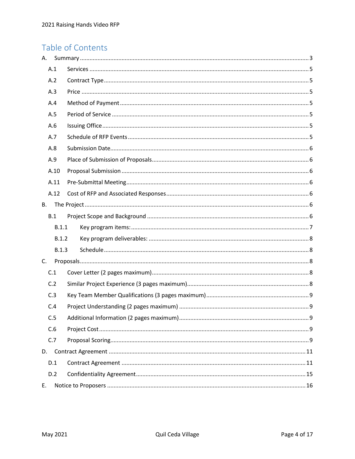### Table of Contents

| A.        |       |  |  |
|-----------|-------|--|--|
|           | A.1   |  |  |
|           | A.2   |  |  |
|           | A.3   |  |  |
|           | A.4   |  |  |
|           | A.5   |  |  |
|           | A.6   |  |  |
|           | A.7   |  |  |
|           | A.8   |  |  |
|           | A.9   |  |  |
|           | A.10  |  |  |
|           | A.11  |  |  |
|           | A.12  |  |  |
| <b>B.</b> |       |  |  |
|           | B.1   |  |  |
|           | B.1.1 |  |  |
|           | B.1.2 |  |  |
|           | B.1.3 |  |  |
| C.        |       |  |  |
| C.1       |       |  |  |
|           | C.2   |  |  |
|           | C.3   |  |  |
|           | C.4   |  |  |
|           | C.5   |  |  |
|           | C.6   |  |  |
|           | C.7   |  |  |
| D.        |       |  |  |
|           | D.1   |  |  |
|           | D.2   |  |  |
| E.        |       |  |  |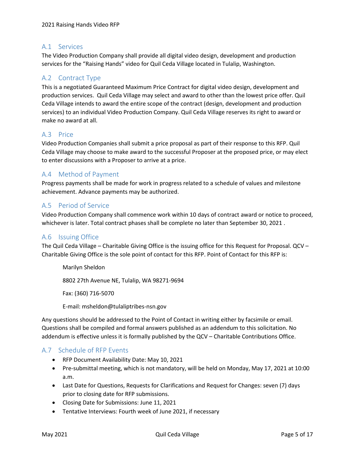#### <span id="page-4-1"></span>A.1 Services

The Video Production Company shall provide all digital video design, development and production services for the "Raising Hands" video for Quil Ceda Village located in Tulalip, Washington.

#### <span id="page-4-2"></span>A.2 Contract Type

This is a negotiated Guaranteed Maximum Price Contract for digital video design, development and production services. Quil Ceda Village may select and award to other than the lowest price offer. Quil Ceda Village intends to award the entire scope of the contract (design, development and production services) to an individual Video Production Company. Quil Ceda Village reserves its right to award or make no award at all.

#### <span id="page-4-3"></span>A.3 Price

Video Production Companies shall submit a price proposal as part of their response to this RFP. Quil Ceda Village may choose to make award to the successful Proposer at the proposed price, or may elect to enter discussions with a Proposer to arrive at a price.

#### <span id="page-4-4"></span>A.4 Method of Payment

Progress payments shall be made for work in progress related to a schedule of values and milestone achievement. Advance payments may be authorized.

#### <span id="page-4-5"></span>A.5 Period of Service

Video Production Company shall commence work within 10 days of contract award or notice to proceed, whichever is later. Total contract phases shall be complete no later than September 30, 2021 .

#### <span id="page-4-0"></span>A.6 Issuing Office

The Quil Ceda Village – Charitable Giving Office is the issuing office for this Request for Proposal. QCV – Charitable Giving Office is the sole point of contact for this RFP. Point of Contact for this RFP is:

Marilyn Sheldon 8802 27th Avenue NE, Tulalip, WA 98271-9694 Fax: (360) 716-5070

E-mail: msheldon@tulaliptribes-nsn.gov

Any questions should be addressed to the Point of Contact in writing either by facsimile or email. Questions shall be compiled and formal answers published as an addendum to this solicitation. No addendum is effective unless it is formally published by the QCV – Charitable Contributions Office.

#### <span id="page-4-6"></span>A.7 Schedule of RFP Events

- RFP Document Availability Date: May 10, 2021
- Pre-submittal meeting, which is not mandatory, will be held on Monday, May 17, 2021 at 10:00 a.m.
- Last Date for Questions, Requests for Clarifications and Request for Changes: seven (7) days prior to closing date for RFP submissions.
- Closing Date for Submissions: June 11, 2021
- Tentative Interviews: Fourth week of June 2021, if necessary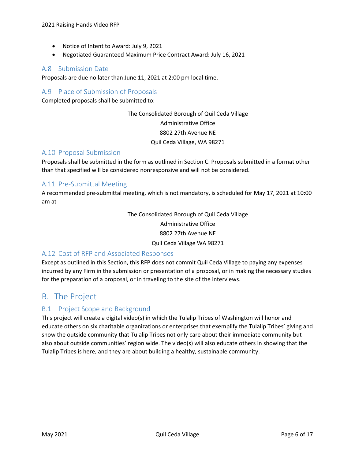- Notice of Intent to Award: July 9, 2021
- Negotiated Guaranteed Maximum Price Contract Award: July 16, 2021

#### <span id="page-5-0"></span>A.8 Submission Date

Proposals are due no later than June 11, 2021 at 2:00 pm local time.

#### <span id="page-5-1"></span>A.9 Place of Submission of Proposals

Completed proposals shall be submitted to:

The Consolidated Borough of Quil Ceda Village Administrative Office 8802 27th Avenue NE Quil Ceda Village, WA 98271

#### <span id="page-5-2"></span>A.10 Proposal Submission

Proposals shall be submitted in the form as outlined in Section C. Proposals submitted in a format other than that specified will be considered nonresponsive and will not be considered.

#### <span id="page-5-3"></span>A.11 Pre-Submittal Meeting

A recommended pre-submittal meeting, which is not mandatory, is scheduled for May 17, 2021 at 10:00 am at

> The Consolidated Borough of Quil Ceda Village Administrative Office 8802 27th Avenue NE Quil Ceda Village WA 98271

#### <span id="page-5-4"></span>A.12 Cost of RFP and Associated Responses

Except as outlined in this Section, this RFP does not commit Quil Ceda Village to paying any expenses incurred by any Firm in the submission or presentation of a proposal, or in making the necessary studies for the preparation of a proposal, or in traveling to the site of the interviews.

### <span id="page-5-5"></span>B. The Project

#### <span id="page-5-6"></span>B.1 Project Scope and Background

This project will create a digital video(s) in which the Tulalip Tribes of Washington will honor and educate others on six charitable organizations or enterprises that exemplify the Tulalip Tribes' giving and show the outside community that Tulalip Tribes not only care about their immediate community but also about outside communities' region wide. The video(s) will also educate others in showing that the Tulalip Tribes is here, and they are about building a healthy, sustainable community.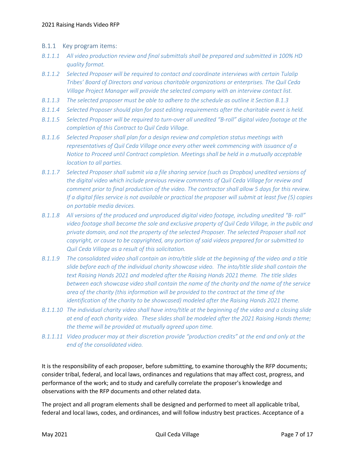- <span id="page-6-0"></span>B.1.1 Key program items:
- *B.1.1.1 All video production review and final submittals shall be prepared and submitted in 100% HD quality format.*
- *B.1.1.2 Selected Proposer will be required to contact and coordinate interviews with certain Tulalip Tribes' Board of Directors and various charitable organizations or enterprises. The Quil Ceda Village Project Manager will provide the selected company with an interview contact list.*
- *B.1.1.3 The selected proposer must be able to adhere to the schedule as outline it Section B.1.3*
- *B.1.1.4 Selected Proposer should plan for post editing requirements after the charitable event is held.*
- *B.1.1.5 Selected Proposer will be required to turn-over all unedited "B-roll" digital video footage at the completion of this Contract to Quil Ceda Village.*
- *B.1.1.6 Selected Proposer shall plan for a design review and completion status meetings with representatives of Quil Ceda Village once every other week commencing with issuance of a Notice to Proceed until Contract completion. Meetings shall be held in a mutually acceptable location to all parties.*
- *B.1.1.7 Selected Proposer shall submit via a file sharing service (such as Dropbox) unedited versions of the digital video which include previous review comments of Quil Ceda Village for review and comment prior to final production of the video. The contractor shall allow 5 days for this review. If a digital files service is not available or practical the proposer will submit at least five (5) copies on portable media devices.*
- *B.1.1.8 All versions of the produced and unproduced digital video footage, including unedited "B- roll" video footage shall become the sole and exclusive property of Quil Ceda Village, in the public and private domain, and not the property of the selected Proposer. The selected Proposer shall not copyright, or cause to be copyrighted, any portion of said videos prepared for or submitted to Quil Ceda Village as a result of this solicitation.*
- *B.1.1.9 The consolidated video shall contain an intro/title slide at the beginning of the video and a title slide before each of the individual charity showcase video. The into/title slide shall contain the text Raising Hands 2021 and modeled after the Raising Hands 2021 theme. The title slides between each showcase video shall contain the name of the charity and the name of the service area of the charity (this information will be provided to the contract at the time of the identification of the charity to be showcased) modeled after the Raising Hands 2021 theme.*
- *B.1.1.10 The individual charity video shall have intro/title at the beginning of the video and a closing slide at end of each charity video. These slides shall be modeled after the 2021 Raising Hands theme; the theme will be provided at mutually agreed upon time.*
- *B.1.1.11 Video producer may at their discretion provide "production credits" at the end and only at the end of the consolidated video.*

It is the responsibility of each proposer, before submitting, to examine thoroughly the RFP documents; consider tribal, federal, and local laws, ordinances and regulations that may affect cost, progress, and performance of the work; and to study and carefully correlate the proposer's knowledge and observations with the RFP documents and other related data.

The project and all program elements shall be designed and performed to meet all applicable tribal, federal and local laws, codes, and ordinances, and will follow industry best practices. Acceptance of a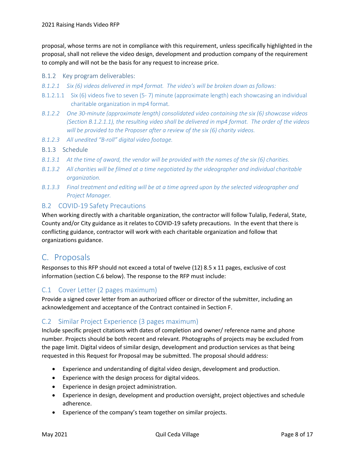proposal, whose terms are not in compliance with this requirement, unless specifically highlighted in the proposal, shall not relieve the video design, development and production company of the requirement to comply and will not be the basis for any request to increase price.

#### <span id="page-7-0"></span>B.1.2 Key program deliverables:

- *B.1.2.1 Six (6) videos delivered in mp4 format. The video's will be broken down as follows:*
- B.1.2.1.1 Six (6) videos five to seven (5- 7) minute (approximate length) each showcasing an individual charitable organization in mp4 format.
- *B.1.2.2 One 30-minute (approximate length) consolidated video containing the six (6) showcase videos (Section B.1.2.1.1), the resulting video shall be delivered in mp4 format. The order of the videos will be provided to the Proposer after a review of the six (6) charity videos.*
- *B.1.2.3 All unedited "B-roll" digital video footage.*

#### <span id="page-7-1"></span>B.1.3 Schedule

- *B.1.3.1 At the time of award, the vendor will be provided with the names of the six (6) charities.*
- *B.1.3.2 All charities will be filmed at a time negotiated by the videographer and individual charitable organization.*
- <span id="page-7-2"></span>*B.1.3.3 Final treatment and editing will be at a time agreed upon by the selected videographer and Project Manager.*

#### B.2 COVID-19 Safety Precautions

When working directly with a charitable organization, the contractor will follow Tulalip, Federal, State, County and/or City guidance as it relates to COVID-19 safety precautions. In the event that there is conflicting guidance, contractor will work with each charitable organization and follow that organizations guidance.

### C. Proposals

Responses to this RFP should not exceed a total of twelve (12) 8.5 x 11 pages, exclusive of cost information (section C.6 below). The response to the RFP must include:

#### <span id="page-7-3"></span>C.1 Cover Letter (2 pages maximum)

Provide a signed cover letter from an authorized officer or director of the submitter, including an acknowledgement and acceptance of the Contract contained in Section F.

#### <span id="page-7-4"></span>C.2 Similar Project Experience (3 pages maximum)

Include specific project citations with dates of completion and owner/ reference name and phone number. Projects should be both recent and relevant. Photographs of projects may be excluded from the page limit. Digital videos of similar design, development and production services as that being requested in this Request for Proposal may be submitted. The proposal should address:

- Experience and understanding of digital video design, development and production.
- Experience with the design process for digital videos.
- Experience in design project administration.
- Experience in design, development and production oversight, project objectives and schedule adherence.
- Experience of the company's team together on similar projects.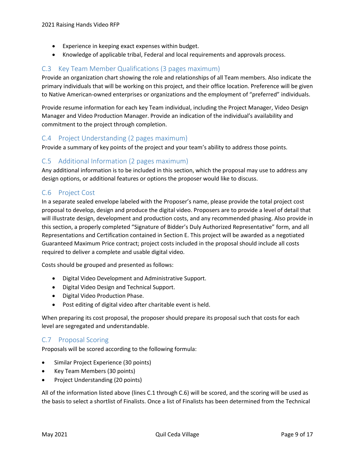- Experience in keeping exact expenses within budget.
- Knowledge of applicable tribal, Federal and local requirements and approvals process.

#### <span id="page-8-0"></span>C.3 Key Team Member Qualifications (3 pages maximum)

Provide an organization chart showing the role and relationships of all Team members. Also indicate the primary individuals that will be working on this project, and their office location. Preference will be given to Native American-owned enterprises or organizations and the employment of "preferred" individuals.

Provide resume information for each key Team individual, including the Project Manager, Video Design Manager and Video Production Manager. Provide an indication of the individual's availability and commitment to the project through completion.

#### <span id="page-8-1"></span>C.4 Project Understanding (2 pages maximum)

Provide a summary of key points of the project and your team's ability to address those points.

#### <span id="page-8-2"></span>C.5 Additional Information (2 pages maximum)

Any additional information is to be included in this section, which the proposal may use to address any design options, or additional features or options the proposer would like to discuss.

#### <span id="page-8-3"></span>C.6 Project Cost

In a separate sealed envelope labeled with the Proposer's name, please provide the total project cost proposal to develop, design and produce the digital video. Proposers are to provide a level of detail that will illustrate design, development and production costs, and any recommended phasing. Also provide in this section, a properly completed "Signature of Bidder's Duly Authorized Representative" form, and all Representations and Certification contained in Section E. This project will be awarded as a negotiated Guaranteed Maximum Price contract; project costs included in the proposal should include all costs required to deliver a complete and usable digital video.

Costs should be grouped and presented as follows:

- Digital Video Development and Administrative Support.
- Digital Video Design and Technical Support.
- Digital Video Production Phase.
- Post editing of digital video after charitable event is held.

When preparing its cost proposal, the proposer should prepare its proposal such that costs for each level are segregated and understandable.

#### <span id="page-8-4"></span>C.7 Proposal Scoring

Proposals will be scored according to the following formula:

- Similar Project Experience (30 points)
- Key Team Members (30 points)
- Project Understanding (20 points)

All of the information listed above (lines C.1 through C.6) will be scored, and the scoring will be used as the basis to select a shortlist of Finalists. Once a list of Finalists has been determined from the Technical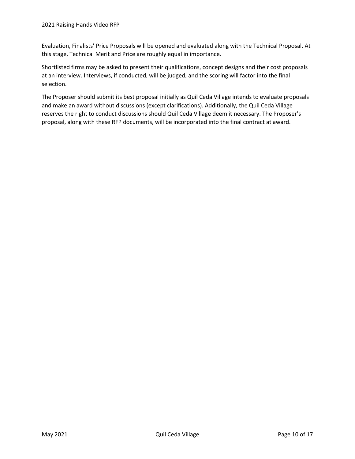Evaluation, Finalists' Price Proposals will be opened and evaluated along with the Technical Proposal. At this stage, Technical Merit and Price are roughly equal in importance.

Shortlisted firms may be asked to present their qualifications, concept designs and their cost proposals at an interview. Interviews, if conducted, will be judged, and the scoring will factor into the final selection.

The Proposer should submit its best proposal initially as Quil Ceda Village intends to evaluate proposals and make an award without discussions (except clarifications). Additionally, the Quil Ceda Village reserves the right to conduct discussions should Quil Ceda Village deem it necessary. The Proposer's proposal, along with these RFP documents, will be incorporated into the final contract at award.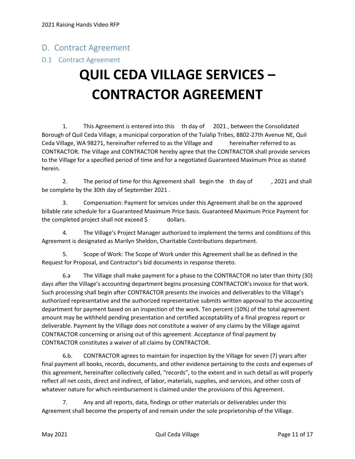### <span id="page-10-0"></span>D. Contract Agreement

#### <span id="page-10-1"></span>D.1 Contract Agreement

## **QUIL CEDA VILLAGE SERVICES – CONTRACTOR AGREEMENT**

1. This Agreement is entered into this th day of 2021 , between the Consolidated Borough of Quil Ceda Village, a municipal corporation of the Tulalip Tribes, 8802-27th Avenue NE, Quil Ceda Village, WA 98271, hereinafter referred to as the Village and hereinafter referred to as CONTRACTOR. The Village and CONTRACTOR hereby agree that the CONTRACTOR shall provide services to the Village for a specified period of time and for a negotiated Guaranteed Maximum Price as stated herein.

2. The period of time for this Agreement shall begin the th day of , 2021 and shall be complete by the 30th day of September 2021 .

3. Compensation: Payment for services under this Agreement shall be on the approved billable rate schedule for a Guaranteed Maximum Price basis. Guaranteed Maximum Price Payment for the completed project shall not exceed \$ dollars.

4. The Village's Project Manager authorized to implement the terms and conditions of this Agreement is designated as Marilyn Sheldon, Charitable Contributions department.

5. Scope of Work: The Scope of Work under this Agreement shall be as defined in the Request for Proposal, and Contractor's bid documents in response thereto.

6.a The Village shall make payment for a phase to the CONTRACTOR no later than thirty (30) days after the Village's accounting department begins processing CONTRACTOR's invoice for that work. Such processing shall begin after CONTRACTOR presents the invoices and deliverables to the Village's authorized representative and the authorized representative submits written approval to the accounting department for payment based on an inspection of the work. Ten percent (10%) of the total agreement amount may be withheld pending presentation and certified acceptability of a final progress report or deliverable. Payment by the Village does not constitute a waiver of any claims by the Village against CONTRACTOR concerning or arising out of this agreement. Acceptance of final payment by CONTRACTOR constitutes a waiver of all claims by CONTRACTOR.

6.b. CONTRACTOR agrees to maintain for inspection by the Village for seven (7) years after final payment all books, records, documents, and other evidence pertaining to the costs and expenses of this agreement, hereinafter collectively called, "records", to the extent and in such detail as will properly reflect all net costs, direct and indirect, of labor, materials, supplies, and services, and other costs of whatever nature for which reimbursement is claimed under the provisions of this Agreement.

7. Any and all reports, data, findings or other materials or deliverables under this Agreement shall become the property of and remain under the sole proprietorship of the Village.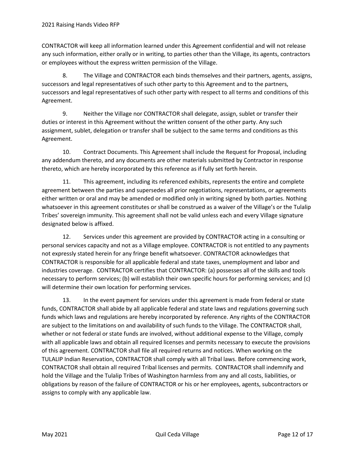CONTRACTOR will keep all information learned under this Agreement confidential and will not release any such information, either orally or in writing, to parties other than the Village, its agents, contractors or employees without the express written permission of the Village.

8. The Village and CONTRACTOR each binds themselves and their partners, agents, assigns, successors and legal representatives of such other party to this Agreement and to the partners, successors and legal representatives of such other party with respect to all terms and conditions of this Agreement.

9. Neither the Village nor CONTRACTOR shall delegate, assign, sublet or transfer their duties or interest in this Agreement without the written consent of the other party. Any such assignment, sublet, delegation or transfer shall be subject to the same terms and conditions as this Agreement.

10. Contract Documents. This Agreement shall include the Request for Proposal, including any addendum thereto, and any documents are other materials submitted by Contractor in response thereto, which are hereby incorporated by this reference as if fully set forth herein.

11. This agreement, including its referenced exhibits, represents the entire and complete agreement between the parties and supersedes all prior negotiations, representations, or agreements either written or oral and may be amended or modified only in writing signed by both parties. Nothing whatsoever in this agreement constitutes or shall be construed as a waiver of the Village's or the Tulalip Tribes' sovereign immunity. This agreement shall not be valid unless each and every Village signature designated below is affixed.

12. Services under this agreement are provided by CONTRACTOR acting in a consulting or personal services capacity and not as a Village employee. CONTRACTOR is not entitled to any payments not expressly stated herein for any fringe benefit whatsoever. CONTRACTOR acknowledges that CONTRACTOR is responsible for all applicable federal and state taxes, unemployment and labor and industries coverage. CONTRACTOR certifies that CONTRACTOR: (a) possesses all of the skills and tools necessary to perform services; (b) will establish their own specific hours for performing services; and (c) will determine their own location for performing services.

13. In the event payment for services under this agreement is made from federal or state funds, CONTRACTOR shall abide by all applicable federal and state laws and regulations governing such funds which laws and regulations are hereby incorporated by reference. Any rights of the CONTRACTOR are subject to the limitations on and availability of such funds to the Village. The CONTRACTOR shall, whether or not federal or state funds are involved, without additional expense to the Village, comply with all applicable laws and obtain all required licenses and permits necessary to execute the provisions of this agreement. CONTRACTOR shall file all required returns and notices. When working on the TULALIP Indian Reservation, CONTRACTOR shall comply with all Tribal laws. Before commencing work, CONTRACTOR shall obtain all required Tribal licenses and permits. CONTRACTOR shall indemnify and hold the Village and the Tulalip Tribes of Washington harmless from any and all costs, liabilities, or obligations by reason of the failure of CONTRACTOR or his or her employees, agents, subcontractors or assigns to comply with any applicable law.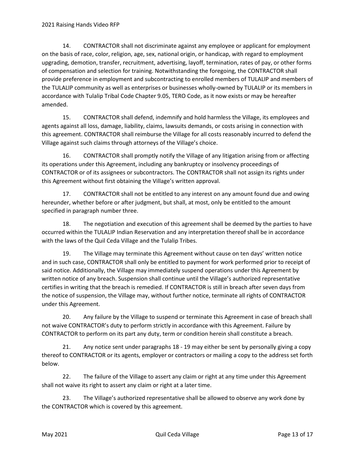14. CONTRACTOR shall not discriminate against any employee or applicant for employment on the basis of race, color, religion, age, sex, national origin, or handicap, with regard to employment upgrading, demotion, transfer, recruitment, advertising, layoff, termination, rates of pay, or other forms of compensation and selection for training. Notwithstanding the foregoing, the CONTRACTOR shall provide preference in employment and subcontracting to enrolled members of TULALIP and members of the TULALIP community as well as enterprises or businesses wholly-owned by TULALIP or its members in accordance with Tulalip Tribal Code Chapter 9.05, TERO Code, as it now exists or may be hereafter amended.

15. CONTRACTOR shall defend, indemnify and hold harmless the Village, its employees and agents against all loss, damage, liability, claims, lawsuits demands, or costs arising in connection with this agreement. CONTRACTOR shall reimburse the Village for all costs reasonably incurred to defend the Village against such claims through attorneys of the Village's choice.

16. CONTRACTOR shall promptly notify the Village of any litigation arising from or affecting its operations under this Agreement, including any bankruptcy or insolvency proceedings of CONTRACTOR or of its assignees or subcontractors. The CONTRACTOR shall not assign its rights under this Agreement without first obtaining the Village's written approval.

17. CONTRACTOR shall not be entitled to any interest on any amount found due and owing hereunder, whether before or after judgment, but shall, at most, only be entitled to the amount specified in paragraph number three.

18. The negotiation and execution of this agreement shall be deemed by the parties to have occurred within the TULALIP Indian Reservation and any interpretation thereof shall be in accordance with the laws of the Quil Ceda Village and the Tulalip Tribes.

19. The Village may terminate this Agreement without cause on ten days' written notice and in such case, CONTRACTOR shall only be entitled to payment for work performed prior to receipt of said notice. Additionally, the Village may immediately suspend operations under this Agreement by written notice of any breach. Suspension shall continue until the Village's authorized representative certifies in writing that the breach is remedied. If CONTRACTOR is still in breach after seven days from the notice of suspension, the Village may, without further notice, terminate all rights of CONTRACTOR under this Agreement.

20. Any failure by the Village to suspend or terminate this Agreement in case of breach shall not waive CONTRACTOR's duty to perform strictly in accordance with this Agreement. Failure by CONTRACTOR to perform on its part any duty, term or condition herein shall constitute a breach.

21. Any notice sent under paragraphs 18 - 19 may either be sent by personally giving a copy thereof to CONTRACTOR or its agents, employer or contractors or mailing a copy to the address set forth below.

22. The failure of the Village to assert any claim or right at any time under this Agreement shall not waive its right to assert any claim or right at a later time.

23. The Village's authorized representative shall be allowed to observe any work done by the CONTRACTOR which is covered by this agreement.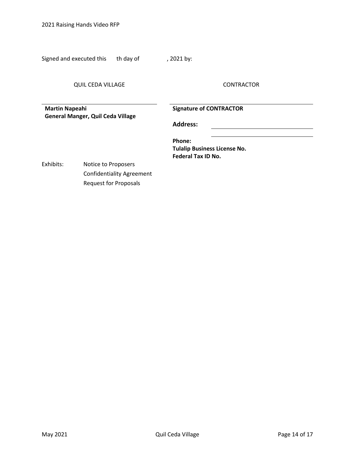2021 Raising Hands Video RFP

Signed and executed this th day of , 2021 by:

QUIL CEDA VILLAGE CONTRACTOR

**Martin Napeahi General Manger, Quil Ceda Village** **Signature of CONTRACTOR**

**Address:**

**Phone: Tulalip Business License No. Federal Tax ID No.**

Exhibits: Notice to Proposers Confidentiality Agreement Request for Proposals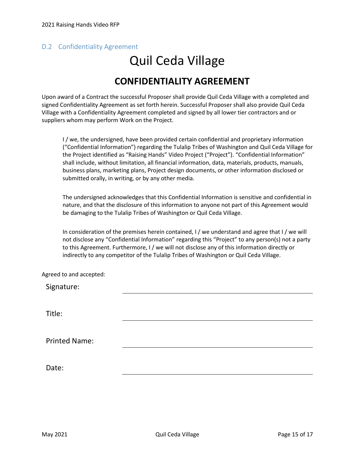#### <span id="page-14-0"></span>D.2 Confidentiality Agreement

## Quil Ceda Village **CONFIDENTIALITY AGREEMENT**

#### Upon award of a Contract the successful Proposer shall provide Quil Ceda Village with a completed and signed Confidentiality Agreement as set forth herein. Successful Proposer shall also provide Quil Ceda Village with a Confidentiality Agreement completed and signed by all lower tier contractors and or suppliers whom may perform Work on the Project.

I / we, the undersigned, have been provided certain confidential and proprietary information ("Confidential Information") regarding the Tulalip Tribes of Washington and Quil Ceda Village for the Project identified as "Raising Hands" Video Project ("Project"). "Confidential Information" shall include, without limitation, all financial information, data, materials, products, manuals, business plans, marketing plans, Project design documents, or other information disclosed or submitted orally, in writing, or by any other media.

The undersigned acknowledges that this Confidential Information is sensitive and confidential in nature, and that the disclosure of this information to anyone not part of this Agreement would be damaging to the Tulalip Tribes of Washington or Quil Ceda Village.

In consideration of the premises herein contained, I / we understand and agree that I / we will not disclose any "Confidential Information" regarding this "Project" to any person(s) not a party to this Agreement. Furthermore, I / we will not disclose any of this information directly or indirectly to any competitor of the Tulalip Tribes of Washington or Quil Ceda Village.

Agreed to and accepted:

Signature:

Title:

Printed Name:

Date: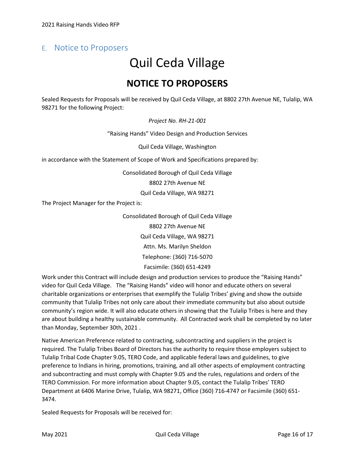### <span id="page-15-0"></span>E. Notice to Proposers

## Quil Ceda Village **NOTICE TO PROPOSERS**

Sealed Requests for Proposals will be received by Quil Ceda Village, at 8802 27th Avenue NE, Tulalip, WA 98271 for the following Project:

*Project No. RH-21-001*

"Raising Hands" Video Design and Production Services

Quil Ceda Village, Washington

in accordance with the Statement of Scope of Work and Specifications prepared by:

Consolidated Borough of Quil Ceda Village

8802 27th Avenue NE

Quil Ceda Village, WA 98271

The Project Manager for the Project is:

Consolidated Borough of Quil Ceda Village 8802 27th Avenue NE Quil Ceda Village, WA 98271 Attn. Ms. Marilyn Sheldon Telephone: (360) 716-5070 Facsimile: (360) 651-4249

Work under this Contract will include design and production services to produce the "Raising Hands" video for Quil Ceda Village. The "Raising Hands" video will honor and educate others on several charitable organizations or enterprises that exemplify the Tulalip Tribes' giving and show the outside community that Tulalip Tribes not only care about their immediate community but also about outside community's region wide. It will also educate others in showing that the Tulalip Tribes is here and they are about building a healthy sustainable community. All Contracted work shall be completed by no later than Monday, September 30th, 2021 .

Native American Preference related to contracting, subcontracting and suppliers in the project is required. The Tulalip Tribes Board of Directors has the authority to require those employers subject to Tulalip Tribal Code Chapter 9.05, TERO Code, and applicable federal laws and guidelines, to give preference to Indians in hiring, promotions, training, and all other aspects of employment contracting and subcontracting and must comply with Chapter 9.05 and the rules, regulations and orders of the TERO Commission. For more information about Chapter 9.05, contact the Tulalip Tribes' TERO Department at 6406 Marine Drive, Tulalip, WA 98271, Office (360) 716-4747 or Facsimile (360) 651- 3474.

Sealed Requests for Proposals will be received for: